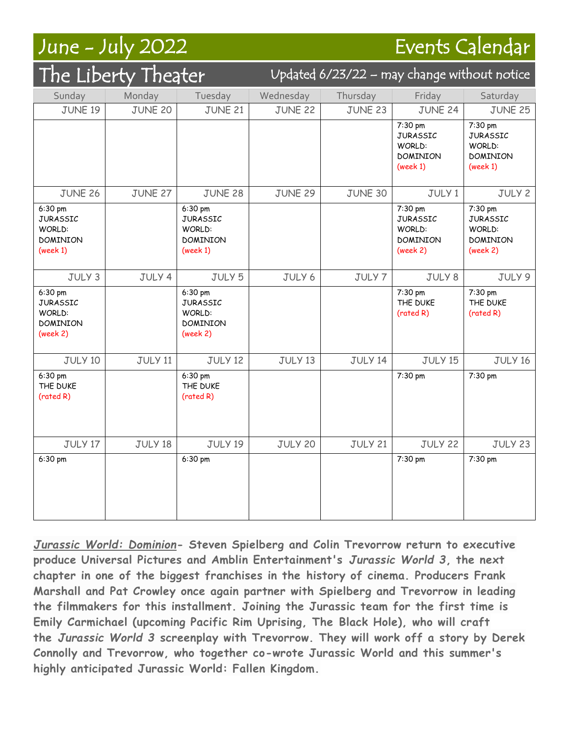## June - July 2022 Events Calendar

| The Liberty Theater                                                 |                |                                                                     | Updated 6/23/22 - may change without notice |                |                                                                     |                                                              |
|---------------------------------------------------------------------|----------------|---------------------------------------------------------------------|---------------------------------------------|----------------|---------------------------------------------------------------------|--------------------------------------------------------------|
| Sunday                                                              | Monday         | Tuesday                                                             | Wednesday                                   | Thursday       | Friday                                                              | Saturday                                                     |
| JUNE 19                                                             | <b>JUNE 20</b> | <b>JUNE 21</b>                                                      | <b>JUNE 22</b>                              | <b>JUNE 23</b> | JUNE 24                                                             | <b>JUNE 25</b>                                               |
|                                                                     |                |                                                                     |                                             |                | 7:30 pm<br><b>JURASSIC</b><br>WORLD:<br><b>DOMINION</b><br>(week 1) | 7:30 pm<br><b>JURASSIC</b><br>WORLD:<br>DOMINION<br>(week 1) |
| <b>JUNE 26</b>                                                      | JUNE 27        | <b>JUNE 28</b>                                                      | <b>JUNE 29</b>                              | JUNE 30        | JULY 1                                                              | JULY 2                                                       |
| 6:30 pm<br><b>JURASSIC</b><br>WORLD:<br><b>DOMINION</b><br>(week 1) |                | 6:30 pm<br><b>JURASSIC</b><br>WORLD:<br><b>DOMINION</b><br>(week 1) |                                             |                | 7:30 pm<br><b>JURASSIC</b><br>WORLD:<br><b>DOMINION</b><br>(week 2) | 7:30 pm<br><b>JURASSIC</b><br>WORLD:<br>DOMINION<br>(week 2) |
| JULY 3                                                              | JULY 4         | JULY 5                                                              | JULY 6                                      | JULY 7         | JULY 8                                                              | JULY 9                                                       |
| 6:30 pm<br><b>JURASSIC</b><br>WORLD:<br><b>DOMINION</b><br>(week 2) |                | 6:30 pm<br><b>JURASSIC</b><br>WORLD:<br><b>DOMINION</b><br>(week 2) |                                             |                | 7:30 pm<br>THE DUKE<br>(rated R)                                    | 7:30 pm<br>THE DUKE<br>(rated R)                             |
| JULY 10                                                             | <b>JULY 11</b> | JULY 12                                                             | JULY 13                                     | JULY 14        | JULY 15                                                             | JULY 16                                                      |
| 6:30 pm<br>THE DUKE<br>(rated R)                                    |                | 6:30 pm<br>THE DUKE<br>(rated R)                                    |                                             |                | 7:30 pm                                                             | 7:30 pm                                                      |
| JULY 17                                                             | JULY 18        | JULY 19                                                             | <b>JULY 20</b>                              | <b>JULY 21</b> | JULY 22                                                             | JULY 23                                                      |
| 6:30 pm                                                             |                | 6:30 pm                                                             |                                             |                | 7:30 pm                                                             | 7:30 pm                                                      |

*Jurassic World: Dominion***- Steven Spielberg and Colin Trevorrow return to executive produce Universal Pictures and Amblin Entertainment's** *Jurassic World 3***, the next chapter in one of the biggest franchises in the history of cinema. Producers Frank Marshall and Pat Crowley once again partner with Spielberg and Trevorrow in leading the filmmakers for this installment. Joining the Jurassic team for the first time is Emily Carmichael (upcoming Pacific Rim Uprising, The Black Hole), who will craft the** *Jurassic World 3* **screenplay with Trevorrow. They will work off a story by Derek Connolly and Trevorrow, who together co-wrote Jurassic World and this summer's highly anticipated Jurassic World: Fallen Kingdom.**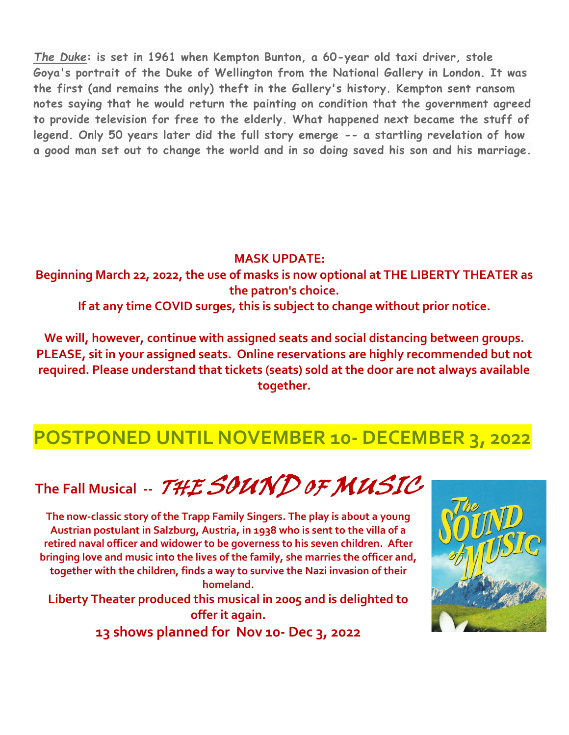*The Duke***: is set in 1961 when Kempton Bunton, a 60-year old taxi driver, stole Goya's portrait of the Duke of Wellington from the National Gallery in London. It was the first (and remains the only) theft in the Gallery's history. Kempton sent ransom notes saying that he would return the painting on condition that the government agreed to provide television for free to the elderly. What happened next became the stuff of legend. Only 50 years later did the full story emerge -- a startling revelation of how a good man set out to change the world and in so doing saved his son and his marriage.**

**MASK UPDATE:**

**Beginning March 22, 2022, the use of masks is now optional at THE LIBERTY THEATER as the patron's choice.**

**If at any time COVID surges, this is subject to change without prior notice.**

**We will, however, continue with assigned seats and social distancing between groups. PLEASE, sit in your assigned seats. Online reservations are highly recommended but not required. Please understand that tickets (seats) sold at the door are not always available together.**

## **POSTPONED UNTIL NOVEMBER 10- DECEMBER 3, 2022**

## The Fall Musical -- THE SOUND OF MUSIC

**The now-classic story of the Trapp Family Singers. The play is about a young Austrian postulant in Salzburg, Austria, in 1938 who is sent to the villa of a retired naval officer and widower to be governess to his seven children. After bringing love and music into the lives of the family, she marries the officer and, together with the children, finds a way to survive the Nazi invasion of their homeland. Liberty Theater produced this musical in 2005 and is delighted to offer it again.**

**13 shows planned for Nov 10- Dec 3, 2022**